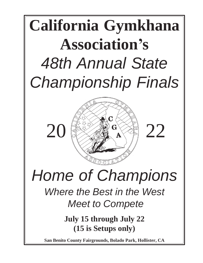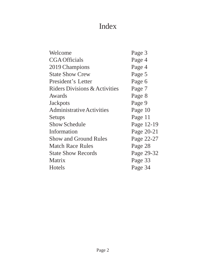## Index

| Page 3     |
|------------|
| Page 4     |
| Page 4     |
| Page 5     |
| Page 6     |
| Page 7     |
| Page 8     |
| Page 9     |
| Page 10    |
| Page 11    |
| Page 12-19 |
| Page 20-21 |
| Page 22-27 |
| Page 28    |
| Page 29-32 |
| Page 33    |
| Page 34    |
|            |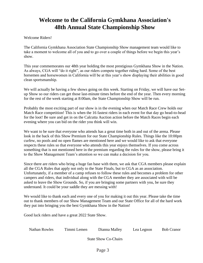### **Welcome to the California Gymkhana Association's 48th Annual State Championship Show**

### Welcome Riders!

The California Gymkhana Association State Championship Show management team would like to take a moment to welcome all of you and to go over a couple of things before we begin this year's show.

This year commemorates our 48th year holding the most prestigious Gymkhana Show in the Nation. As always, CGA will "do it right", as our riders compete together riding hard. Some of the best horsemen and horsewomen in California will be at this year's show displaying their abilities in good clean sportsmanship.

We will actually be having a few shows going on this week. Starting on Friday, we will have our Setup Show so our riders can get those last-minute times before the end of the year. Then every morning for the rest of the week starting at 8:00am, the State Championship Show will be run.

Probably the most exciting part of our show is in the evening when our Match Race Crew holds our Match Race competition! This is when the 16 fastest riders in each event for that day go head-to-head for the loot! Be sure and get in on the Calcutta Auction action before the Match Races begin each evening where you can bid on the rider you think will win.

We want to be sure that everyone who attends has a great time both in and out of the arena. Please look in the back of this Show Premium for our State Championship Rules. Things like the 10:00pm curfew, no pools and no open flames are mentioned here and we would like to ask that everyone respects these rules so that everyone who attends this year enjoys themselves. If you come across something that is not mentioned here in the premium regarding the rules for the show, please bring it to the Show Management Team's attention so we can make a decision for you.

Since there are riders who bring a huge fan base with them, we ask that CGA members please explain all the CGA Rules that apply not only to the State Finals, but to CGA as an association. Unfortunately, if a member of a camp refuses to follow these rules and becomes a problem for other campers and riders, that individual along with the CGA member they are associated with will be asked to leave the Show Grounds. So, if you are bringing some partners with you, be sure they understand. It could be your saddle they are messing with!

We would like to thank each and every one of you for making it out this year. Please take the time out to thank members of our Show Management Team and our State Office for all of the hard work they put into bringing you the best Gymkhana Show in the Nation!

Good luck riders and have a great 2022 State Show.

| Nathan Rowles | Timmi Lemen | Dianna Malley | Lea Legnon | <b>Bob Cranor</b> |
|---------------|-------------|---------------|------------|-------------------|
|               |             |               |            |                   |

State Show Co-Chairs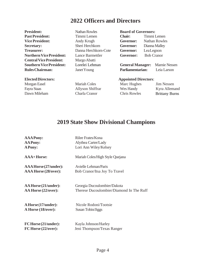### **2022 Officers and Directors**

**President: Nathan Rowles Board of Governors: Past President:** Timmi Lemen **Chair:** Timmi Lemen **Treasurer:** Danna Herchkorn-Cote **Governor:** LeaLegnon **Northern Vice President:** Lance Barmettler **Governor:** Bob Cranor **CentralVicePresident:** MargoAbatti

**Vice President:** Andy Krogh **Governor:** Nathan Rowles **Secretary:** Sheri Herchkorn **Governor:** Dianna Malley

**Southern Vice President:** Lorelei Lehman **General Manager:** Marnie Nessen **RulesChairman:** JanetYoung **Parliamentarian:** Leia Larson

### **ElectedDirectors: Appointed Directors**:

| Morgan Easel | <b>Mariah Coles</b> | Marc Hughes         | <b>Jim Nessen</b>     |
|--------------|---------------------|---------------------|-----------------------|
| Fayra Staas  | Allyson Shiffrar    | Wes Handy           | Kyra Allemand         |
| Dawn Mileham | Charla Cranor       | <b>Chris Rowles</b> | <b>Brittany Burns</b> |

### **2019 State Show Divisional Champions**

| <b>AAAPony:</b>          | Rilee Frates/Kona                        |
|--------------------------|------------------------------------------|
| <b>AAPony:</b>           | Alythea Carter/Lady                      |
| <b>APony:</b>            | Lori Ann Wiley/Kelsey                    |
| <b>AAA+Horse:</b>        | Mariah Coles/High Style Quejana          |
| AAA Horse (27/under):    | Avielle Lehman/Paris                     |
| AAA Horse (28/over):     | Bob Cranor/Itsa Joy To Travel            |
| AA Horse (21/under):     | Georgia Ducoulombier/Dakota              |
| AA Horse (22/over):      | Therese Ducoulombier/Diamond In The Ruff |
| A Horse (17/under):      | Nicole Rodoni/Tootsie                    |
| A Horse (18/over):       | Susan Tobin/Jiggs                        |
| FC Horse (21/under):     | Kayla Johnson/Harley                     |
| $FC$ Horse $(22/over)$ : | Jeni Thompson/Texas Ranger               |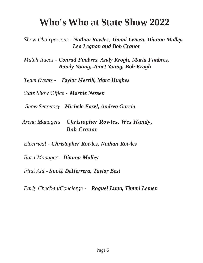## **Who's Who at State Show 2022**

*Show Chairpersons - Nathan Rowles, Timmi Lemen, Dianna Malley, Lea Legnon and Bob Cranor*

*Match Races - Conrad Fimbres, Andy Krogh, Maria Fimbres, Randy Young, Janet Young, Bob Krogh*

*Team Events - Taylor Merrill, Marc Hughes*

*State Show Office - Marnie Nessen*

*Show Secretary - Michele Easel, Andrea Garcia*

*Arena Managers – Christopher Rowles, Wes Handy, Bob Cranor*

*Electrical - Christopher Rowles, Nathan Rowles*

*Barn Manager - Dianna Malley*

*First Aid - Scott DeHerrera, Taylor Best*

*Early Check-in/Concierge - Roquel Luna, Timmi Lemen*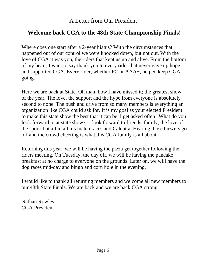### **Welcome back CGA to the 48th State Championship Finals!**

Where does one start after a 2-year hiatus? With the circumstances that happened out of our control we were knocked down, but not out. With the love of CGA it was you, the riders that kept us up and alive. From the bottom of my heart, I want to say thank you to every rider that never gave up hope and supported CGA. Every rider, whether FC or AAA+, helped keep CGA going.

Here we are back at State. Oh man, how I have missed it; the greatest show of the year. The love, the support and the hype from everyone is absolutely second to none. The push and drive from so many members is everything an organization like CGA could ask for. It is my goal as your elected President to make this state show the best that it can be. I get asked often "What do you look forward to at state show?" I look forward to friends, family, the love of the sport; but all in all, its match races and Calcutta. Hearing those buzzers go off and the crowd cheering is what this CGA family is all about.

Returning this year, we will be having the pizza get together following the riders meeting. On Tuesday, the day off, we will be having the pancake breakfast at no charge to everyone on the grounds. Later on, we will have the dog races mid-day and bingo and corn hole in the evening.

I would like to thank all returning members and welcome all new members to our 48th State Finals. We are back and we are back CGA strong.

Nathan Rowles CGA President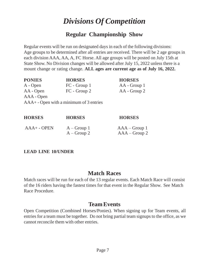## *Divisions Of Competition*

### **Regular Championship Show**

Regular events will be run on designated days in each of the following divisions: Age groups to be determined after all entries are received. There will be 2 age groups in each division AAA, AA, A, FC Horse. All age groups will be posted on July 15th at State Show. No Division changes will be allowed after July 15, 2022 unless there is a mount change or rating change. **ALL ages are current age as of July 16, 2022.**

| <b>PONIES</b> | <b>HORSES</b>                           | <b>HORSES</b> |
|---------------|-----------------------------------------|---------------|
| A - Open      | FC - Group 1                            | AA - Group 1  |
| AA - Open     | FC - Group 2                            | AA - Group 2  |
| AAA - Open    |                                         |               |
|               | AAA+ - Open with a minimum of 3 entries |               |
|               |                                         |               |
|               |                                         |               |

| <b>HORSES</b>  | <b>HORSES</b>                  | <b>HORSES</b>                      |
|----------------|--------------------------------|------------------------------------|
| $AAA + -$ OPEN | $A - Group 1$<br>$A - Group 2$ | $AAA - Group 1$<br>$AAA$ – Group 2 |

### **LEAD LINE 10/UNDER**

### **Match Races**

Match races will be run for each of the 13 regular events. Each Match Race will consist of the 16 riders having the fastest times for that event in the Regular Show. See Match Race Procedure.

### **Team Events**

Open Competition (Combined Horses/Ponies). When signing up for Team events, all entries for a team must be together. Do not bring partial team signups to the office, as we cannot reconcile them with other entries.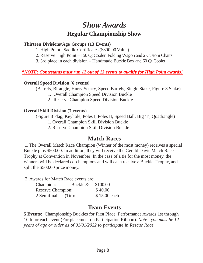## *Show Awards* **Regular Championship Show**

### **Thirteen Divisions/Age Groups (13 Events)**

- 1. High Point Saddle Certificates (\$800.00 Value)
- 2. Reserve High Point 150 Qt Cooler, Folding Wagon and 2 Custom Chairs
- 3. 3rd place in each division Handmade Buckle Box and 60 Qt Cooler

### *\*NOTE: Contestants must run 12 out of 13 events to qualify for High Point awards!*

### **Overall Speed Division** (**6 events)**

(Barrels, Birangle, Hurry Scurry, Speed Barrels, Single Stake, Figure 8 Stake)

- 1. Overall Champion Speed Division Buckle
- 2. Reserve Champion Speed Division Buckle

### **Overall Skill Division** (**7 events**)

(Figure 8 Flag, Keyhole, Poles I, Poles II, Speed Ball, Big 'T', Quadrangle)

- 1. Overall Champion Skill Division Buckle
- 2. Reserve Champion Skill Division Buckle

### **Match Races**

1. The Overall Match Race Champion (Winner of the most money) receives a special Buckle plus \$500.00. In addition, they will receive the Gerald Davis Match Race Trophy at Convention in November. In the case of a tie for the most money, the winners will be declared co-champions and will each receive a Buckle, Trophy, and split the \$500.00 prize money.

2. Awards for Match Race events are:

| Champion:                | Buckle & | \$100.00     |
|--------------------------|----------|--------------|
| <b>Reserve Champion:</b> |          | \$40.00      |
| 2 Semifinalists (Tie):   |          | \$15.00 each |

### **Team Events**

**5 Events:** Championship Buckles for First Place. Performance Awards 1st through 10th for each event (For placement on Participation Ribbon). *Note - you must be 12 years of age or older as of 01/01/2022 to participate in Rescue Race.*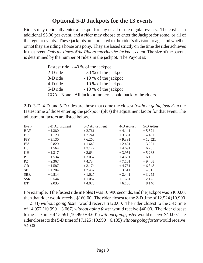### **Optional 5-D Jackpots for the 13 events**

Riders may optionally enter a jackpot for any or all of the regular events. The cost is an additional \$5.00 per event, and a rider may choose to enter the Jackpot for some, or all of the regular events. These jackpots are unrelated to the rider's division or age, and whether or not they are riding a horse or a pony. They are based strictly on the time the rider achieves in that event.*Only the times of theRiders entering the Jackpots count.*The size ofthe payout is determined by the number of riders in the jackpot. The Payout is:

|            | Fastest ride - 40 % of the jackpot                        |
|------------|-----------------------------------------------------------|
| $2-D$ ride | - 30 % of the jackpot                                     |
| 3-D ride   | - 10 % of the jackpot                                     |
| 4-D ride   | - 10 % of the jackpot                                     |
| 5-D ride   | - 10 % of the jackpot                                     |
|            | CGA - None. All jackpot money is paid back to the riders. |

2-D, 3-D, 4-D and 5-D rides are those that come the closest (*without going faster*) to the fastest time of those entering the jackpot  $+($ plus) the adjustment factor for that event. The adjustment factors are listed below.

| 2-D Adjustment | 3-D Adjustment | 4-D Adjust. | 5-D Adjust. |
|----------------|----------------|-------------|-------------|
| $+1.380$       | $+2.761$       | $+4.141$    | $+5.521$    |
| $+1.120$       | $+2.241$       | $+3.361$    | $+4.481$    |
| $+3.130$       | $+6.260$       | $+9.391$    | $+12.521$   |
| $+0.820$       | $+1.640$       | $+2.461$    | $+3.281$    |
| $+1.564$       | $+3.127$       | $+4.691$    | $+6.255$    |
| $+1.317$       | $+2.634$       | $+3.951$    | $+5.268$    |
| $+1.534$       | $+3.067$       | $+4.601$    | $+6.135$    |
| $+2.367$       | $+4.734$       | $+7.101$    | $+9.468$    |
| $+1.587$       | $+3.174$       | $+4.761$    | $+6.348$    |
| $+1.204$       | $+2.407$       | $+3.611$    | $+4.815$    |
| $+0.814$       | $+1.627$       | $+2.441$    | $+3.255$    |
| $+0.544$       | $+1.087$       | $+1.631$    | $+2.175$    |
| $+2.035$       | $+4.070$       | $+6.105$    | $+8.140$    |
|                |                |             |             |

For example, if the fastest ride in Poles I was 10.990 seconds, and the jackpot was \$400.00, then that rider would receive \$160.00. The rider closest to the 2-D time of  $12.524$  (10.990) + 1.534) *without going faster* would receive \$120.00. The rider closest to the 3-D time of 14.057 (10.990 + 3.067) *without going faster* would receive \$40.00. The rider closest to the 4-Dtime of 15.591 (10.990 + 4.601)*without going faster*would receive \$40.00.The rider closestto the 5-Dtime of 17.125 (10.990 +6.135)*without going faster*would receive \$40.00.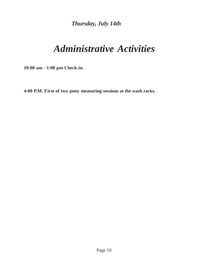*Thursday, July 14th*

## *Administrative Activities*

**10:00 am - 1:00 pm Check-in.**

**4:00 P.M. First of two pony measuring sessions at the wash racks.**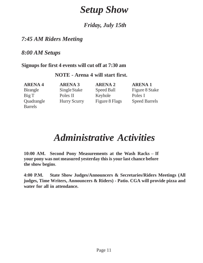## *Setup Show*

### *Friday, July 15th*

### *7:45 AM Riders Meeting*

### *8:00 AM Setups*

### **Signups for first 4 events will cut off at 7:30 am**

### **NOTE - Arena 4 will start first.**

Barrels

**ARENA 4 ARENA 3 ARENA 2 ARENA 1** Big T Poles II Keyhole Poles I

Birangle Single Stake Speed Ball Figure 8 Stake Quadrangle Hurry Scurry Figure 8 Flags Speed Barrels

## *Administrative Activities*

**10:00 AM. Second Pony Measurements at the Wash Racks – If your pony was not measured yesterday this is your last chance before the show begins**.

**4:00 P.M. State Show Judges/Announcers & Secretaries/Riders Meetings (All judges, Time Writers, Announcers & Riders) - Patio. CGA will provide pizza and water for all in attendance.**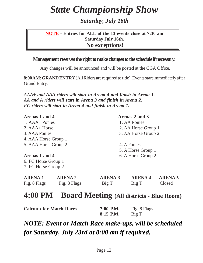## *State Championship Show*

*Saturday, July 16th*

### **NOTE - Entries for ALL of the 13 events close at 7:30 am Saturday July 16th. No exceptions!**

### **Management reserves the right to make changes to the schedule if necessary.**

Any changes will be announced and will be posted at the CGA Office.

**8:00AM: GRANDENTRY** (All Riders are required to ride). Events start immediately after Grand Entry.

*AAA+ and AAA riders will start in Arena 4 and finish in Arena 1. AA and A riders will start in Arena 3 and finish in Arena 2. FC riders will start in Arena 4 and finish in Arena 1.*

| Arenas 1 and 4                 |                                |                         | Arenas 2 and 3         |                          |
|--------------------------------|--------------------------------|-------------------------|------------------------|--------------------------|
| 1. AAA+ Ponies                 |                                |                         | 1. AA Ponies           |                          |
| 2. AAA+ Horse                  |                                |                         | 2. AA Horse Group 1    |                          |
| 3. AAA Ponies                  |                                |                         | 3. AA Horse Group 2    |                          |
| 4. AAA Horse Group 1           |                                |                         |                        |                          |
| 5. AAA Horse Group 2           |                                |                         | 4. A Ponies            |                          |
|                                |                                |                         | 5. A Horse Group 1     |                          |
| Arenas 1 and 4                 |                                |                         | 6. A Horse Group 2     |                          |
| 6. FC Horse Group 1            |                                |                         |                        |                          |
| 7. FC Horse Group 2            |                                |                         |                        |                          |
| <b>ARENA 1</b><br>Fig. 8 Flags | <b>ARENA 2</b><br>Fig. 8 Flags | <b>ARENA 3</b><br>Big T | <b>ARENA4</b><br>Big T | <b>ARENA 5</b><br>Closed |
|                                |                                |                         |                        |                          |

## **4:00 PM Board Meeting (All districts - Blue Room)**

| <b>Calcutta for Match Races</b> | 7:00 P.M. | Fig. 8 Flags |
|---------------------------------|-----------|--------------|
|                                 | 8:15 P.M. | Big T        |

*NOTE: Event or Match Race make-ups, will be scheduled for Saturday, July 23rd at 8:00 am if required.*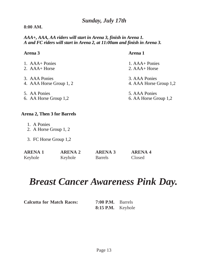### *Sunday, July 17th*

### **8:00 AM.**

### *AAA+, AAA, AA riders will start in Arena 3, finish in Arena 1. A and FC riders will start in Arena 2, at 11:00am and finish in Arena 3.*

### **Arena 3 Arena 1**

| 1. AAA+ Ponies          | 1. AAA + Ponies        |
|-------------------------|------------------------|
| 2. AAA+ Horse           | $2. AAA+Horse$         |
| 3. AAA Ponies           | 3. AAA Ponies          |
| 4. AAA Horse Group 1, 2 | 4. AAA Horse Group 1,2 |
| 5. AA Ponies            | 5. AAA Ponies          |
| 6. AA Horse Group 1,2   | 6. AA Horse Group 1,2  |

### **Arena 2, Then 3 for Barrels**

- 1. A Ponies
- 2. A Horse Group 1, 2
- 3. FC Horse Group 1,2

| <b>ARENA 1</b> | <b>ARENA 2</b> | <b>ARENA 3</b> | <b>ARENA 4</b> |
|----------------|----------------|----------------|----------------|
| Keyhole        | Keyhole        | <b>Barrels</b> | Closed         |

## *Breast Cancer Awareness Pink Day.*

**7:00 P.M.** Barrels **8:15 P.M.** Keyhole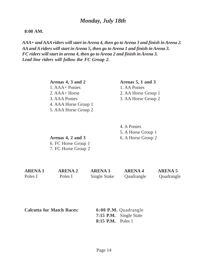### *Monday, July 18th*

### **8:00 AM.**

*AAA+ andAAAriders will start inArena 4, then go toArena 3 and finish inArena 2. AAand Ariders will start inArena 5, then go toArena 1 and finish inArena 3. FC riders will start in arena 4, then go toArena 2 and finish inArena 3. Lead line riders will follow the FC Group 2.*

> **Arenas 4, 3 and 2 Arenas 5, 1 and 3** 1. AAA+ Ponies 1. AA Ponies 2. AAA+ Horse 2. AA Horse Group 1 3. AAA Ponies 3. AA Horse Group 2 4. AAA Horse Group 1 5. AAA Horse Group 2

4. A Ponies 5. A Horse Group 1

**Arenas 4, 2 and 3** 6. A Horse Group 2 6. FC Horse Group 1 7. FC Horse Group 2

**ARENA 1 ARENA 2 ARENA 3 ARENA 4 ARENA 5** Poles I Poles I Single Stake Quadrangle Quadrangle

**Calcutta for Match Races: 6:00 P.M.** Quadrangle

**7:15 P.M.** Single State **8:15 P.M.** Poles 1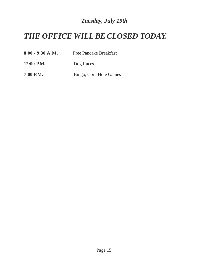## *Tuesday, July 19th*

## *THE OFFICE WILL BE CLOSED TODAY.*

| $8:00 - 9:30 A.M.$ | <b>Free Pancake Breakfast</b> |  |  |
|--------------------|-------------------------------|--|--|
| 12:00 P.M.         | Dog Races                     |  |  |
| 7:00 P.M.          | Bingo, Corn Hole Games        |  |  |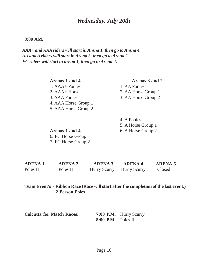### *Wednesday, July 20th*

### **8:00 AM.**

*AAA+ andAAA riders will start inArena 1, then go toArena 4. AA and Ariders will start inArena 3, then go to Arena 2. FC riders will start in arena 1, then go to Arena 4.*

| Arenas 1 and 4       | Arenas 3 and 2      |
|----------------------|---------------------|
| 1. AAA + Ponies      | 1. AA Ponies        |
| $2. AAA+Horse$       | 2. AA Horse Group 1 |
| 3. AAA Ponies        | 3. AA Horse Group 2 |
| 4. AAA Horse Group 1 |                     |
| 5. AAA Horse Group 2 |                     |

4. A Ponies 5. A Horse Group 1

**Arenas 1 and 4** 6. A Horse Group 2 6. FC Horse Group 1 7. FC Horse Group 2

| ARENA 1  | <b>ARENA 2</b> | <b>ARENA 3</b>            | <b>ARENA4</b> | <b>ARENA 5</b> |
|----------|----------------|---------------------------|---------------|----------------|
| Poles II | Poles II       | Hurry Scurry Hurry Scurry |               | Closed         |

### **Team Event's - Ribbon Race (Race will start after the completion of the last event.) 2 Person Poles**

| <b>Calcutta for Match Races:</b> |                      | 7:00 P.M. Hurry Scurry |
|----------------------------------|----------------------|------------------------|
|                                  | $8:00$ P.M. Poles II |                        |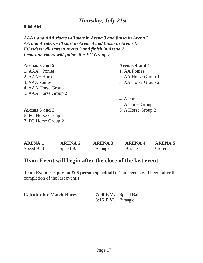### *Thursday, July 21st*

### **8:00 AM.**

*AAA+ and AAA riders will start in Arena 3 and finish in Arena 2. AA and A riders will start in Arena 4 and finish in Arena 1. FC riders will start in Arena 3 and finish in Arena 2. Lead line riders will follow the FC Group 2.*

| Arenas 3 and 2       | Arenas 4 and 1      |
|----------------------|---------------------|
| 1. AAA+ Ponies       | 1. AA Ponies        |
| $2. AAA+Horse$       | 2. AA Horse Group 1 |
| 3. AAA Ponies        | 3. AA Horse Group 2 |
| 4. AAA Horse Group 1 |                     |
| 5. AAA Horse Group 2 |                     |
|                      | 4. A Ponies         |
|                      | 5. A Horse Group 1  |
| Arenas 3 and 2       | 6. A Horse Group 2  |
| 6. FC Horse Group 1  |                     |
| 7. FC Horse Group 2  |                     |

| <b>ARENA 1</b> | <b>ARENA 2</b> | <b>ARENA 3</b>   | <b>ARENA 4</b> | <b>ARENA 5</b> |
|----------------|----------------|------------------|----------------|----------------|
| Speed Ball     | Speed Ball     | <b>B</b> irangle | Birangle       | Closed         |

### **Team Event will begin after the close of the last event.**

**Team Events: 2 person & 5 person speedball** (Team events will begin after the completion of the last event.)

| <b>Calcutta for Match Races</b> |                    | 7:00 P.M. Speed Ball |
|---------------------------------|--------------------|----------------------|
|                                 | 8:15 P.M. Birangle |                      |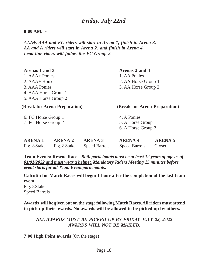### **8:00 AM. -**

*AAA+, AAA and FC riders will start in Arena 1, finish in Arena 3. AA and A riders will start in Arena 2, and finish in Arena 4. Lead line riders will follow the FC Group 2.*

| Arenas 1 and 3       |                               |                      | Arenas 2 and 4                |                |
|----------------------|-------------------------------|----------------------|-------------------------------|----------------|
| 1. AAA + Ponies      |                               |                      | 1. AA Ponies                  |                |
| $2. AAA+Horse$       |                               |                      | 2. AA Horse Group 1           |                |
| 3. AAA Ponies        |                               |                      | 3. AA Horse Group 2           |                |
| 4. AAA Horse Group 1 |                               |                      |                               |                |
| 5. AAA Horse Group 2 |                               |                      |                               |                |
|                      | (Break for Arena Preparation) |                      | (Break for Arena Preparation) |                |
| 6. FC Horse Group 1  |                               |                      | 4. A Ponies                   |                |
| 7. FC Horse Group 2  |                               |                      | 5. A Horse Group 1            |                |
|                      |                               |                      | 6. A Horse Group 2            |                |
|                      |                               |                      |                               |                |
| <b>ARENA 1</b>       | <b>ARENA 2</b>                | <b>ARENA 3</b>       | <b>ARENA 4</b>                | <b>ARENA 5</b> |
| Fig. 8 Stake         | Fig. 8 Stake                  | <b>Speed Barrels</b> | <b>Speed Barrels</b>          | Closed         |

**Team Events: Rescue Race -** *Both participants must be at least 12 years of age as of 01/01/2022 and must wear a helmet. Mandatory Riders Meeting 15 minutes before event starts for all Team Event participants.*

**Calcutta for Match Races will begin 1 hour after the completion of the last team event** Fig. 8Stake Speed Barrels

**Awards will be given out on the stage following Match Races.All riders must attend to pick up their awards. No awards will be allowed to be picked up by others.**

*ALL AWARDS MUST BE PICKED UP BY FRIDAY JULY 22, 2 022 AWARDS WILL NOT BE MAILED.*

**7:00 High Point awards** (On the stage)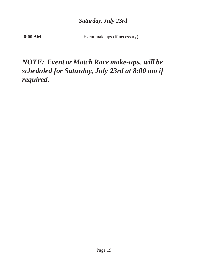### *Saturday, July 23rd*

**8:00 AM** Event makeups (if necessary)

## *NOTE: Event or Match Race make-ups, will be scheduled for Saturday, July 23rd at 8:00 am if required.*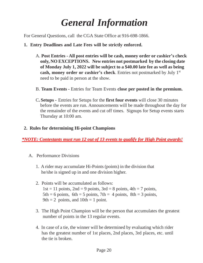## *General Information*

For General Questions, call the CGA State Office at 916-698-1866.

- **1. Entry Deadlines and Late Fees will be strictly enforced.**
	- A. **Post Entries - All post entries will be cash, money order or cashier's check only, NO EXCEPTIONS. New entries not postmarked by the closing date of Monday July 1, 2022 will be subject to a \$40.00 late fee as well as being cash, money order or cashier's check**. Entries not postmarked by July 1 st need to be paid in person at the show.
	- B. **Team Events -** Entries for Team Events **close per posted in the premium.**
	- C**. Setups -** Entries for Setups for the **first four events** will close 30 minutes before the events are run. Announcements will be made throughout the day for the remainder of the events and cut off times. Signups for Setup events starts Thursday at 10:00 am.

### **2. Rules for determining Hi-point Champions**

*\*NOTE: Contestants must run 12 out of 13 events to qualify for High Point awards!*

- A. Performance Divisions
	- 1. A rider may accumulate Hi-Points (points) in the division that he/she is signed up in and one division higher.
	- 2. Points will be accumulated as follows:  $1st = 11$  points,  $2nd = 9$  points,  $3rd = 8$  points,  $4th = 7$  points,  $5th = 6$  points,  $6th = 5$  points,  $7th = 4$  points,  $8th = 3$  points, 9th  $= 2$  points, and 10th  $= 1$  point.
	- 3. The High Point Champion will be the person that accumulates the greatest number of points in the 13 regular events.
	- 4. In case of a tie, the winner will be determined by evaluating which rider has the greatest number of 1st places, 2nd places, 3rd places, etc. until the tie is broken.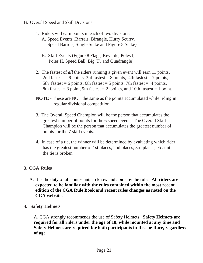- B. Overall Speed and Skill Divisions
	- 1. Riders will earn points in each of two divisions:
		- A. Speed Events (Barrels, Birangle, Hurry Scurry, Speed Barrels, Single Stake and Figure 8 Stake)
		- B. Skill Events (Figure 8 Flags, Keyhole, Poles I, Poles II, Speed Ball, Big 'T', and Quadrangle)
	- 2. The fastest of *all* the riders running a given event will earn 11 points, 2nd fastest = 9 points, 3rd fastest = 8 points, 4th fastest = 7 points, 5th fastest = 6 points, 6th fastest = 5 points, 7th fastest = 4 points, 8th fastest  $= 3$  point, 9th fastest  $= 2$  points, and 10th fastest  $= 1$  point.
	- **NOTE** These are NOT the same as the points accumulated while riding in regular divisional competition.
	- 3. The Overall Speed Champion will be the person that accumulates the greatest number of points for the 6 speed events. The Overall Skill Champion will be the person that accumulates the greatest number of points for the 7 skill events.
	- 4. In case of a tie, the winner will be determined by evaluating which rider has the greatest number of 1st places, 2nd places, 3rd places, etc. until the tie is broken.

### **3. CGA Rules**

- A. It is the duty of all contestants to know and abide by the rules. **All riders are expected to be familiar with the rules contained within the most recent edition of the CGA Rule Book and recent rules changes as noted on the CGA website.**
- **4. Safety Helmets**

A. CGA strongly recommends the use of Safety Helmets. **Safety Helmets are required for all riders under the age of 18, while mounted at any time and Safety Helmets are required for both participants in Rescue Race, regardless of age.**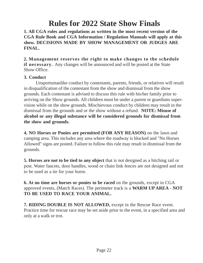## **Rules for 2022 State Show Finals**

**1. All CGA rules and regulations as written in the most recent version of the CGA Rule Book and CGA Information / Regulation Manuals will apply at this show. DECISIONS MADE BY SHOW MANAGEMENT OR JUDGES ARE FINAL.**

**2. Management reserves the right to make changes to the schedule if necessary.** Any changes will be announced and will be posted at the State Show Office.

### **3. Conduct**

Unsportsmanlike conduct by contestants, parents, friends, or relatives will result in disqualification of the contestant from the show and dismissal from the show grounds. Each contestant is advised to discuss this rule with his/her family prior to arriving on the Show grounds. All children must be under a parent or guardians supervision while on the show grounds. Mischievous conduct by children may result in the dismissal from the grounds and or the show without a refund. **NOTE: Misuse of alcohol or any illegal substance will be considered grounds for dismissal from the show and grounds.**

**4. NO Horses or Ponies are permitted (FOR ANY REASON)** on the lawn and camping area. This includes any area where the roadway is blocked and "No Horses Allowed" signs are posted. Failure to follow this rule may result in dismissal from the grounds.

**5. Horses are not to be tied to any object** that is not designed as a hitching rail or post. Water faucets, door handles, wood or chain link fences are not designed and not to be used as a tie for your horse.

**6. At no time are horses or ponies to be raced** on the grounds, except in CGA approved events, (Match Races). The perimeter track is a **WARM UP AREA** - **NOT TO BE USED TO RACE YOUR ANIMAL.**

**7. RIDING DOUBLE IS NOT ALLOWED,** except in the Rescue Race event. Practice time for rescue race may be set aside prior to the event, in a specified area and only at a walk or trot.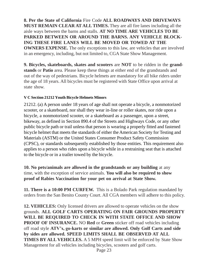**8. Per the State of California** Fire Code **ALL ROADWAYS AND DRIVEWAYS MUST REMAIN CLEAR AT ALLTIMES.** They are all fire lanes including all the aisle ways between the barns and stalls. **AT NO TIME ARE VEHICLES TO BE PARKED BETWEEN OR AROUND THE BARNS. ANY VEHICLE BLOCK-ING THESE FIRE LANES WILL BE MOVED OR TOWED AT THE OWNERS EXPENSE.** The only exceptions to this law, are vehicles that are involved in an emergency, including, but not limited to, CGA State Show Management.

**9. Bicycles, skateboards, skates and scooters** are **NOT** to be ridden in the **grandstands** or **Patio** area. Please keep these things at either end of the grandstands and out of the way of pedestrians. Bicycle helmets are mandatory for all bike riders under the age of 18 years. All bicycles must be registered with State Office upon arrival at state show.

### **V C Section 21212 Youth Bicycle Helmets Minors**

21212. (a) A person under 18 years of age shall not operate a bicycle, a nonmotorized scooter, or a skateboard, nor shall they wear in-line or roller skates, nor ride upon a bicycle, a nonmotorized scooter, or a skateboard as a passenger, upon a street, bikeway, as defined in Section 890.4 of the Streets and Highways Code, or any other public bicycle path or trail unless that person is wearing a properly fitted and fastened bicycle helmet that meets the standards of either the American Society for Testing and Materials (ASTM) or the United States Consumer Product Safety Commission (CPSC), or standards subsequently established by those entities. This requirement also applies to a person who rides upon a bicycle while in a restraining seat that is attached to the bicycle or in a trailer towed by the bicycle.

**10. No pets/animals are allowed in the grandstands or any building** at any time, with the exception of service animals. **You will also be required to show proof of Rabies Vaccination for your pet on arrival at State Show.**

**11. There is a 10:00 PM CURFEW.** This is a Bolado Park regulation mandated by orders from the San Benito County Court. All CGA members will adhere to this policy.

**12. VEHICLES:** Only licensed drivers are allowed to operate vehicles on the show grounds. **ALL GOLF CARTS OPERATING ON FAIR GROUNDS PROPERTY WILL BE REQUIRED TO CHECK IN WITH STATE OFFICE AND SHOW PROOF OF INSURANCE.** NO **Red** or **Green** sticker off road vehicles including off road style **ATV's, go-karts or similar are allowed. Only Golf Carts and side by sides are allowed. SPEED LIMITS SHALL BE OBSERVED AT ALL TIMES BY ALL VEHICLES.** A 5 MPH speed limit will be enforced by State Show Management for all vehicles including bicycles, scooters and golf carts.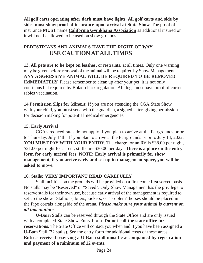**All golf carts operating after dark must have lights. All golf carts and side by sides must show proof of insurance upon arrival at State Show.** The proof of insurance **MUST** name **California Gymkhana Association** as additional insured or it will not be allowed to be used on show grounds.

### **PEDESTRIANS AND ANIMALS HAVE THE RIGHT OF WAY. USE CAUTION ATALLTIMES**

**13. All pets are to be kept on leashes,** or restraints, at all times. Only one warning may be given before removal of the animal will be required by Show Management. **ANY AGGRESSIVE ANIMAL WILL BE REQUIRED TO BE REMOVED IMMEDIATELY.** Please remember to clean up after your pet, it is not only courteous but required by Bolado Park regulation. All dogs must have proof of current rabies vaccination.

**14.Permission Slips for Minors:** If you are not attending the CGA State Show with your child, **you must** send with the guardian, a signed letter, giving permission for decision making for potential medical emergencies.

### **15. Early Arrival**

CGA's reduced rates do not apply if you plan to arrive at the Fairgrounds prior to Thursday, July 14th. If you plan to arrive at the Fairgrounds prior to July 14, 2022, **YOU MUST PAY WITH YOUR ENTRY.** The charge for an RV is \$38.00 per night, \$21.00 per night for a Tent, stalls are \$30.00 per day. **There is a place on the entry form for early arrival fees. NOTE: Early arrival is primarily for show management, if you arrive early and set up in management space, you will be asked to move.**

### **16. Stalls: VERY IMPORTANT READ CAREFULLY**

Stall facilities on the grounds will be provided on a first come first served basis. No stalls may be "Reserved" or "Saved". Only Show Management has the privilege to reserve stalls for their own use, because early arrival of the management is required to set up the show. Stallions, biters, kickers, or "problem" horses should be placed in the Pipe corrals alongside of the arena. *Please make sure your animal is current on all inoculations.*

**U-Barn Stalls** can be reserved through the State Office and are only issued with a completed State Show Entry Form. **Do not call the state office for reservations.** The State Office will contact you when and if you have been assigned a U-Barn Stall (32 stalls). See the entry form for additional costs of these areas. **Entries received reserving a U-Barn stall must be accompanied by registration and payment of a minimum of 12 events.**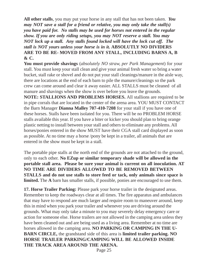**All other stalls**, you may put your horse in any stall that has not been taken. *You may NOT save a stall for a friend or relative, you may only take the stall(s) you have paid for. No stalls may be used for horses not entered in the regular show. If you are only riding setups, you may NOT reserve a stall. You may NOT lock up a stall. Any stalls found locked will have the lock cut off. The stall is NOT yours unless your horse is in it.* **ABSOLUTLY NO DIVIDERS ARE TO BE RE- MOVED FROM ANY STALL, INCLUDING BARNS A, B & C.**

**You must provide shavings** (*absolutely NO straw, per Park Management*) for your stall. You must keep your stall clean and give your animal fresh water so bring a water bucket, stall rake or shovel and do not put your stall cleanings/manure in the aisle way, there are locations at the end of each barn to pile the manure/cleanings so the park crew can come around and clear it away easier. ALL STALLS must be cleaned of all manure and shavings when the show is over before you leave the grounds.

**NOTE: STALLIONS AND PROBLEMS HORSES.** All stallions are required to be in pipe corrals that are located in the center of the arena area. YOU MUST CONTACT the Barn Manager **Dianna Malley 707-410-7208** for your stall if you have one of these horses. Stalls have been isolated for you. There will be no PROBLEM HORSE stalls available this year. If you have a biter or kicker you should plan to bring orange plastic netting to install between your stall and others to eliminate any problems.All horses/ponies entered in the show MUST have their CGA stall card displayed as soon as possible. At no time may a horse /pony be kept in a trailer, all animals that are entered in the show must be kept in a stall.

The portable pipe stalls at the north end of the grounds are not attached to the ground, only to each other. **No EZup or similar temporary shade will be allowed in the portable stall area. Please be sure your animal is current on all inoculation. AT NO TIME ARE DIVIDERS ALLOWED TO BE REMOVED BETWEEN STALLS and do not use stalls to store feed or tack, only animals since space is limited.** The **A** barn has smaller stalls, if possible, ponies are encouraged to use them.

**17. Horse Trailer Parking:** Please park your horse trailer in the designated areas. Remember to keep the roadways clear at all times. The fire apparatus and ambulances that may have to respond are much larger and require room to maneuver around, keep this in mind when you park your trailer and whenever you are driving around the grounds. What may only take a minute to you may severely delay emergency care or action for someone else. Horse trailers are not allowed in the camping area unless they have been cleaned out and are being used as a living area. Remember at no time are horses allowed in the camping area. **NO PARKING OR CAMPING IN THE U-BARN CIRCLE,** the grandstand side of this area is **limited trailer parking. NO HORSE TRAILER PARKING/CAMPING WILL BE ALLOWED INSIDE THE TRACK AREA AROUND THE ARENA.**

Page 25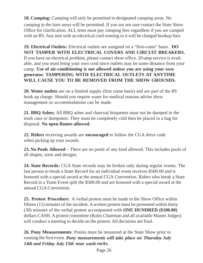**18. Camping:** Camping will only be permitted in designated camping areas. No camping in the barn areas will be permitted. If you are not sure contact the State Show Office for clarification. ALL tents must pay camping fees regardless if you are camped with an RV. Any tent with an electrical cord running to it will be charged hookup fees.

**19. Electrical Outlets:** Electrical outlets are assigned on a "first-come" basis. **DO NOT TAMPER WITH ELECTRICAL COVERS AND CIRCUIT BREAKERS.**  If you have an electrical problem, please contact show office. 20-amp service is available, and you must bring your own cord since outlets may be some distance from your camp. **Use of air-conditioning is not allowed unless you are using your own generator. TAMPERING WITH ELECTRICAL OUTLETS AT ANYTIME WILL CAUSE YOU TO BE REMOVED FROM THE SHOW GROUNDS.**

**20. Water outlets** are on a limited supply (first come basis) and are part of the RV hook up charge. Should you require water for medical reasons advise show management so accommodations can be made.

**21. BBQ Ashes;** All BBQ ashes and charcoal briquettes must not be dumped in the trash cans or dumpsters. They must be completely cold then be placed in a bag for disposal. **No open flames allowed.**

**22. Riders** receiving awards are **encouraged** to follow the CGA dress code when picking up your awards.

**23. No Pools Allowed –** There are no pools of any kind allowed. This includes pools of all shapes, sizes and designs.

**24. State Records:** CGA State records may be broken only during regular events. The last person to break a State Record for an individual event receives \$500.00 and is honored with a special award at the annual CGA Convention. Riders who break a State Record in a Team Event split the \$500.00 and are honored with a special award at the annual CGA Convention.

**25. Protest Procedure:** A verbal protest must be made to the Show Office within fifteen (15) minutes of the incident. Awritten protest must be presented within thirty (30) minutes of the verbal protest accompanied with **ONE HUNDRED (\$100.00)**  dollars CASH. A protest committee (Rules Chairman and all available Master Judges) will conduct a meeting to decide on the protest. All decisions are final.

**26. Pony Measurements**: Ponies must be measured at the State Show prior to running the first event. *Pony measurements will take place on Thursday July 14th and Friday July 15th near wash racks.*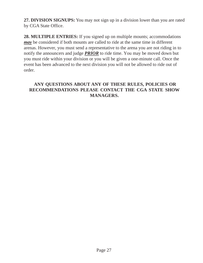**27. DIVISION SIGNUPS:** You may not sign up in a division lower than you are rated by CGA State Office.

**28. MULTIPLE ENTRIES:** If you signed up on multiple mounts; accommodations *may* be considered if both mounts are called to ride at the same time in different arenas. However, you must send a representative to the arena you are not riding in to notify the announcers and judge *PRIOR* to ride time. You may be moved down but you must ride within your division or you will be given a one-minute call. Once the event has been advanced to the next division you will not be allowed to ride out of order.

### **ANY QUESTIONS ABOUT ANY OF THESE RULES, POLICIES OR RECOMMENDATIONS PLEASE CONTACT THE CGA STATE SHOW MANAGERS.**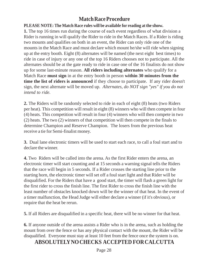### **Match Race Procedure**

### **PLEASE NOTE: The Match Race rules will be available for reading at the show.**

**1.** The top 16 times run during the course of each event regardless of what division a Rider is running in will qualify the Rider to ride in the Match Races. If a Rider is riding two mounts and qualifies on both in an event, the Rider can only ride one of the mounts in the Match Race and must declare which mount he/she will ride when signing up at the entry booth. Eight (8) alternates will be named (the next eight best times) to ride in case of injury or any one of the top 16 Riders chooses not to participate. All the alternates should be at the gate ready to ride in case one of the 16 finalists do not show up for some last-minute reason. **All riders including alternates** who qualify for a Match Race **must sign** in at the entry booth in person **within 30 minutes from the time the list of riders is announced** if they choose to participate. If any rider doesn't sign, the next alternate will be moved up. *Alternates, do NOT sign "yes" if you do not intend to ride.*

**2.** The Riders will be randomly selected to ride in each of eight (8) heats (two Riders per heat). This competition will result in eight (8) winners who will then compete in four (4) heats. This competition will result in four (4) winners who will then compete in two (2) heats. The two (2) winners of that competition will then compete in the finals to determine Champion and Reserve Champion. The losers from the previous heat receive a tie for Semi-finalist money.

**3.** Dual lane electronic timers will be used to start each race, to call a foul start and to declare the winner.

**4.** Two Riders will be called into the arena. As the first Rider enters the arena, an electronic timer will start counting and at 15 seconds a warning signal tells the Riders that the race will begin in 5 seconds. If a Rider crosses the starting line prior to the starting horn, the electronic timer will set off a foul start light and that Rider will be disqualified. For the Riders that have a good start, the timer will flash a green light for the first rider to cross the finish line. The first Rider to cross the finish line with the least number of obstacles knocked down will be the winner of that heat. In the event of a timer malfunction, the Head Judge will either declare a winner (if it's obvious), or require that the heat be rerun.

**5.** If all Riders are disqualified in a specific heat, there will be no winner for that heat.

**6.** If anyone outside of the arena assists a Rider who is in the arena, such as holding the mount from over the fence or has any physical contact with the mount, the Rider will be disqualified. Everyone must stay at least 10 feet from the fence once the system is on.

### **ABSOLUTELYNOCHECKS ACCEPTED FORCALCUTTA**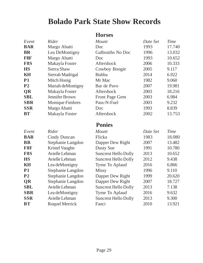## **Bolado Park State Show Records**

### **Horses**

| Event          | Rider                  | Mount                       | Date Set | <b>Time</b> |
|----------------|------------------------|-----------------------------|----------|-------------|
| <b>BAR</b>     | Margo Abatti           | Doc                         | 1993     | 17.740      |
| <b>BR</b>      | Lea DeMontigny         | Galbraiths No Doc           | 1996     | 13.032      |
| F8F            | Margo Abatti           | Doc                         | 1993     | 10.652      |
| F8S            | Makayla Foster         | Aftershock                  | 2006     | 10.333      |
| <b>HS</b>      | Sierra Shaw            | Cowboy Boogie               | 2005     | 9.117       |
| KH             | Sierrah Madrigal       | <b>Bubba</b>                | 2014     | 6.922       |
| <b>P1</b>      | Mitch Honig            | Mr Mac                      | 1982     | 9.060       |
| P <sub>2</sub> | Mariah deMontigny      | Bar de Pavo                 | 2007     | 19.981      |
| <b>QR</b>      | Makayla Foster         | Aftershock                  | 2003     | 18.216      |
| <b>SBL</b>     | <b>Jennifer Brown</b>  | Front Page Gem              | 2003     | 6.984       |
| <b>SBR</b>     | <b>Monique Fimbres</b> | Pass-N-Fuel                 | 2003     | 9.232       |
| <b>SSR</b>     | Margo Abatti           | Doc                         | 1993     | 8.839       |
| <b>BT</b>      | Makayla Foster         | Aftershock                  | 2002     | 13.753      |
|                |                        |                             |          |             |
|                |                        | <b>Ponies</b>               |          |             |
| Event          | Rider                  | Mount                       | Date Set | <b>Time</b> |
| <b>BAR</b>     | <b>Cindy Duncan</b>    | Flicka                      | 1983     | 18.080      |
| <b>BR</b>      | Stephanie Langdon      | Dapper Dew Right            | 2007     | 13.482      |
| F8F            | <b>Kristel Vaughn</b>  | <b>Dusty Sue</b>            | 1991     | 10.780      |
| F8S            | Avielle Lehman         | <b>Suncrest Hello Dolly</b> | 2013     | 10.652      |
| <b>HS</b>      | Avielle Lehman         | <b>Suncrest Hello Dolly</b> | 2012     | 9.438       |
| KH             | Lea deMontigny         | Tyme To Aplaud              | 2016     | 6.866       |
| <b>P1</b>      | Stephanie Langdon      | <b>Missy</b>                | 1996     | 9.110       |
| P <sub>2</sub> | Stephanie Langdon      | Dapper Dew Right            | 1999     | 20.620      |
| <b>QR</b>      | Stephanie Langdon      | Dapper Dew Right            | 2007     | 18.727      |
| <b>SBL</b>     | Avielle Lehman         | <b>Suncrest Hello Dolly</b> | 2013     | 7.138       |
| <b>SBR</b>     | Lea deMontigny         | Tyme To Aplaud              | 2016     | 9.632       |
| <b>SSR</b>     | Avielle Lehman         | <b>Suncrest Hello Dolly</b> | 2013     | 9.300       |
| <b>BT</b>      | <b>Roquel Merrick</b>  | Fanci                       | 2010     | 13.921      |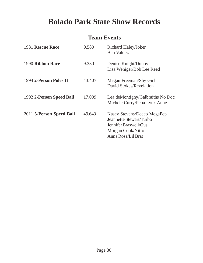## **Bolado Park State Show Records**

### **Team Events**

| 1981 Rescue Race         | 9.580  | Richard Haley/Joker<br><b>Ben Valdez</b>                                                                                   |
|--------------------------|--------|----------------------------------------------------------------------------------------------------------------------------|
| 1990 Ribbon Race         | 9.330  | Denise Knight/Dunny<br>Lisa Weniger/Bob Lee Reed                                                                           |
| 1994 2-Person Poles II   | 43.407 | Megan Freeman/Shy Girl<br>David Stokes/Revelation                                                                          |
| 1992 2-Person Speed Ball | 17.009 | Lea deMontigny/Galbraiths No Doc<br>Michele Curry/Pepa Lynx Anne                                                           |
| 2011 5-Person Speed Ball | 49.643 | Kasey Stevens/Decco MegaPep<br>Jeannette Stewart/Turbo<br>Jennifer Braswell/Gus<br>Morgan Cook/Nitro<br>Anna Rose/Lil Brat |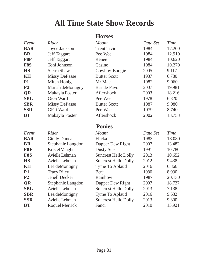## **All Time State Show Records**

### **Horses**

| Event          | Rider                 | Mount                       | Date Set | <b>Time</b> |
|----------------|-----------------------|-----------------------------|----------|-------------|
| <b>BAR</b>     | Joyce Jackson         | <b>Trent Tivio</b>          | 1984     | 17.200      |
| <b>BR</b>      | <b>Jeff Taggart</b>   | Pee Wee                     | 1984     | 12.910      |
| F8F            | <b>Jeff Taggart</b>   | Renee                       | 1984     | 10.620      |
| F8S            | Toni Johnson          | Casino                      | 1984     | 10.270      |
| <b>HS</b>      | Sierra Shaw           | Cowboy Boogie               | 2005     | 9.117       |
| KH             | <b>Missy DePasse</b>  | <b>Butter Scott</b>         | 1987     | 6.780       |
| <b>P1</b>      | Mitch Honig           | Mr Mac                      | 1982     | 9.060       |
| P <sub>2</sub> | Mariah deMontigny     | Bar de Pavo                 | 2007     | 19.981      |
| <b>QR</b>      | Makayla Foster        | Aftershock                  | 2003     | 18.216      |
| <b>SBL</b>     | GiGi Ward             | Pee Wee                     | 1978     | 6.820       |
| <b>SBR</b>     | <b>Missy DePasse</b>  | <b>Butter Scott</b>         | 1987     | 9.080       |
| <b>SSR</b>     | GiGi Ward             | Pee Wee                     | 1979     | 8.740       |
| <b>BT</b>      | Makayla Foster        | Aftershock                  | 2002     | 13.753      |
|                |                       | <b>Ponies</b>               |          |             |
| Event          | Rider                 | Mount                       | Date Set | <b>Time</b> |
| <b>BAR</b>     | <b>Cindy Duncan</b>   | Flicka                      | 1983     | 18.080      |
| <b>BR</b>      | Stephanie Langdon     | Dapper Dew Right            | 2007     | 13.482      |
| F8F            | <b>Kristel Vaughn</b> | <b>Dusty Sue</b>            | 1991     | 10.780      |
| F8S            | Avielle Lehman        | <b>Suncrest Hello Dolly</b> | 2013     | 10.652      |
| <b>HS</b>      | Avielle Lehman        | <b>Suncrest Hello Dolly</b> | 2012     | 9.438       |
| <b>KH</b>      | Lea deMontigny        | Tyme To Aplaud              | 2016     | 6.866       |
| <b>P1</b>      | <b>Tracy Riley</b>    | Benji                       | 1980     | 8.930       |
| P <sub>2</sub> | <b>Jenell Decker</b>  | Rainbow                     | 1987     | 20.130      |
| <b>QR</b>      | Stephanie Langdon     | Dapper Dew Right            | 2007     | 18.727      |
| <b>SBL</b>     | Avielle Lehman        | <b>Suncrest Hello Dolly</b> | 2013     | 7.138       |
| <b>SBR</b>     | Lea deMontigny        | Tyme To Aplaud              | 2016     | 9.632       |
| <b>SSR</b>     | Avielle Lehman        | <b>Suncrest Hello Dolly</b> | 2013     | 9.300       |
| <b>BT</b>      | <b>Roquel Merrick</b> | Fanci                       | 2010     | 13.921      |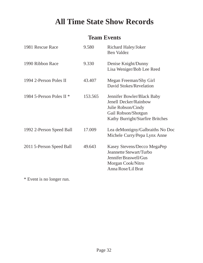## **All Time State Show Records**

### **Team Events**

| 1981 Rescue Race           | 9.580   | Richard Haley/Joker<br><b>Ben Valdez</b>                                                                                             |
|----------------------------|---------|--------------------------------------------------------------------------------------------------------------------------------------|
| 1990 Ribbon Race           | 9.330   | Denise Knight/Dunny<br>Lisa Weniger/Bob Lee Reed                                                                                     |
| 1994 2-Person Poles II     | 43.407  | Megan Freeman/Shy Girl<br>David Stokes/Revelation                                                                                    |
| 1984 5-Person Poles II $*$ | 153.565 | Jennifer Bowler/Black Baby<br>Jenell Decker/Rainbow<br>Julie Robson/Cindy<br>Gail Robson/Shotgun<br>Kathy Burright/Starfire Britches |
| 1992 2-Person Speed Ball   | 17.009  | Lea deMontigny/Galbraiths No Doc<br>Michele Curry/Pepa Lynx Anne                                                                     |
| 2011 5-Person Speed Ball   | 49.643  | Kasey Stevens/Decco MegaPep<br>Jeannette Stewart/Turbo<br>Jennifer Braswell/Gus<br>Morgan Cook/Nitro<br>Anna Rose/Lil Brat           |

\* Event is no longer run.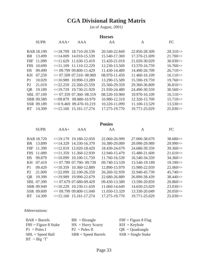### **CGA Divisional Rating Matrix**

(as of August, 2001)

| <b>Horses</b> |                   |        |                           |               |               |                      |
|---------------|-------------------|--------|---------------------------|---------------|---------------|----------------------|
|               | <b>SUPR</b>       | $AAA+$ | AAA                       | AA            | A             | FC                   |
|               | <b>BAR 18.199</b> |        | $<<$ 18.709 18.710-20.539 | 20.540-22.849 | 22.850-28.309 | 28.310 >             |
| BR            | 13.499            |        | $<<$ 14.009 14.010-15.539 | 15.540-17.369 | 17.370-21.699 | $21.700 \rightarrow$ |
| F8F           | 11.099            |        | $<<$ 11.629 11.630-15.419 | 15.420-21.019 | 21.020-30.029 | $30.030 \geq 5$      |
| F8S           | 10.699            |        | $<<$ 11.109 11.110-12.229 | 12.230-13.569 | 13.570-16.759 | $16.760 \rightarrow$ |
| <b>HS</b>     | 09.499            |        | $<< 09.799$ 09.800-11.429 | 11.430-14.489 | 14.490-26.709 | $26.710 \rightarrow$ |
| <b>KH</b>     | 07.259            |        | $<< 07.509$ 07.510-08.969 | 08.970-11.459 | 11.460-16.109 | $16.110 \geq 1$      |
| P1            | 10.029            |        | $<<$ 10.989 10.990-13.289 | 13.290-15.589 | 15.590-19.759 | $19.760 \rightarrow$ |
| P2            | 21.019            |        | $<<$ 22.259 22.260-25.559 | 25.560-29.359 | 29.360-36.809 | 36.810 >             |
| <b>OR</b>     | 19.189            |        | $<<$ 19.729 19.730-21.929 | 21.930-24.489 | 24.490-30.559 | $30.560 \rightarrow$ |
|               | SBL 07.109        |        | $<< 07.359$ 07.360-08.519 | 08.520-10.969 | 10.970-16.109 | $16.110 \geq$        |
|               | SBR 09.589        |        | $<<09.879$ 09.880-10.979  | 10.980-12.319 | 12.320-15.709 | 15.710 >             |
|               | SSR 09.189        |        | $<<09.46909.470-10.219$   | 10.220-11.099 | 11.100-13.529 | 13.530>>             |
| BT.           | 14.309            |        | $<<$ 15.160 15.161-17.274 | 17.275-19.770 | 19.771-25.029 | 25.030>>             |
|               |                   |        |                           |               |               |                      |

### **Ponies**

|                | <b>SUPR</b>       | $AAA+$ | AAA                         | AA            | A             | FC                   |
|----------------|-------------------|--------|-----------------------------|---------------|---------------|----------------------|
|                | <b>BAR 18.729</b> |        | $<<$ 19.179 19.180-22.059   | 22.060-26.999 | 27.000-38.679 | 38.680>>             |
| BR.            | 13.899            |        | $<<$ 14.329 14.330-16.379   | 16.380-20.089 | 20.090-29.989 | $29.990 \rightarrow$ |
| F8F            | 11.399            |        | $<<$ 12.019 12.020-18.429   | 18.430-24.679 | 24.680-39.359 | 39.360>>             |
| F8S            | 11.089            |        | $<<$ 11.359 11.360-12.939   | 12.940-15.479 | 15.480-21.609 | $21.610 \rightarrow$ |
| <b>HS</b>      | 09.879            |        | $\leq$ 10.099 10.100-11.759 | 11.760-16.539 | 16.540-34.359 | 34.360>>             |
| KH             | 07.419            |        | $<< 07.789$ 07.790- 09.739  | 09.740-13.539 | 13.540-19.189 | $19.190 \rightarrow$ |
| P <sub>1</sub> | 09.429            |        | $<<$ 10.359 10.360-12.889   | 12.890-15.979 | 15.980-22.059 | $22.060 \rightarrow$ |
| P <sub>2</sub> | 21.009            |        | $\leq 22.099$ 22.100-26.259 | 26.260-32.939 | 32.940-45.739 | $45.740 \rightarrow$ |
| <b>QR</b>      | 19.399            |        | $<<$ 19.989 19.990-22.679   | 22.680-26.889 | 26.890-38.439 | $38.440 \rightarrow$ |
|                | SBL 07.399        |        | $<< 07.679$ 07.680-09.429   | 09.430-13.589 | 13.590-20.859 | $20.860 \rightarrow$ |
|                | SBR 09.949        |        | $<<$ 10.229 10.230-11.659   | 11.660-14.649 | 14.650-23.029 | $23.030 \rightarrow$ |
|                | SSR 09.609        |        | $<< 09.799$ 09.800-11.049   | 11.050-13.329 | 13.330-20.049 | $20.050 \rightarrow$ |
| <b>BT</b>      | 14.309            |        | $<<$ 15.160 15.161-17.274   | 17.275-19.770 | 19.771-25.029 | $25.030 \gg$         |

Abbreviations:

| $BAR = Barnes$         | $BR = Birangle$       | $F8F = Figure 8 Flag$ |
|------------------------|-----------------------|-----------------------|
| $F8S = Figure 8$ Stake | $HS = Hurry$ Scurry   | $KH = Keyhole$        |
| $P1 = Poles I$         | $P2 = Poles II$       | $QR = Quadrangle$     |
| $SBL = Speed Ball$     | $SBR = Speed~Barrels$ | $SSR = Single State$  |
| $BT = Big 'T'$         |                       |                       |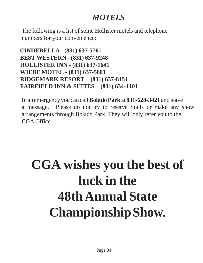## *MOTELS*

The following is a list of some Hollister motels and telephone numbers for your convenience:

**CINDERELLA - (831) 637-5761 BEST WESTERN - (831) 637-9248 HOLLISTER INN - (831) 637-1641 WIEBE MOTEL - (831) 637-5801 RIDGEMARK RESORT – (831) 637-8151 FAIRFIELD INN & SUITES – (831) 634-1101**

In an emergency you can call**BoladoPark** at **831-628-3421** and leave a message. Please do not try to reserve Stalls or make any show arrangements through Bolado Park. They will only refer you to the CGA Office.

# **CGA wishes you the best of luck in the 48thAnnual State ChampionshipShow.**